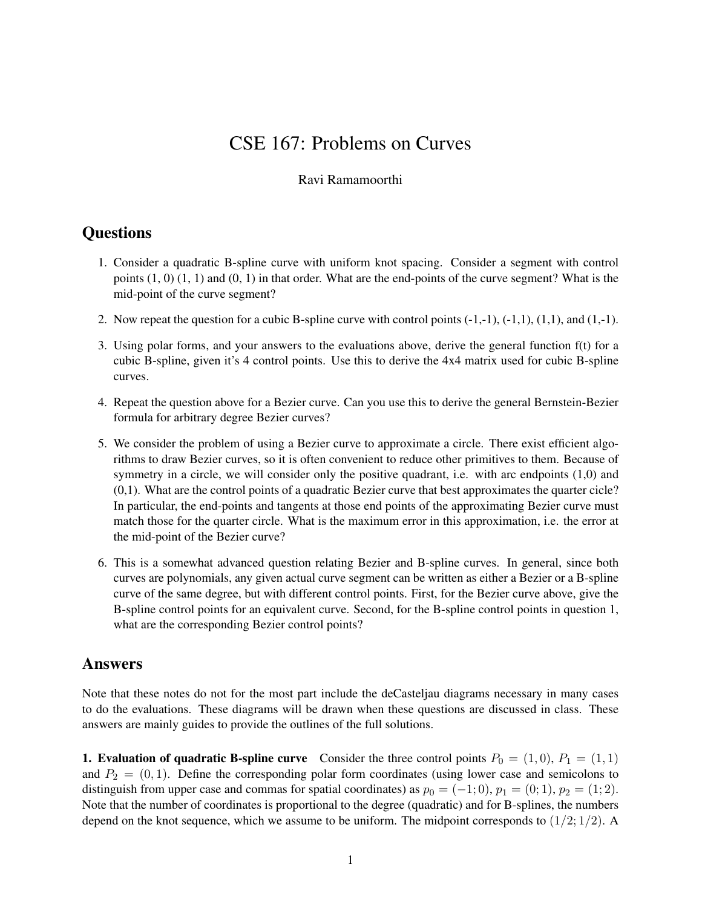## CSE 167: Problems on Curves

## Ravi Ramamoorthi

## **Questions**

- 1. Consider a quadratic B-spline curve with uniform knot spacing. Consider a segment with control points  $(1, 0)$   $(1, 1)$  and  $(0, 1)$  in that order. What are the end-points of the curve segment? What is the mid-point of the curve segment?
- 2. Now repeat the question for a cubic B-spline curve with control points  $(-1,-1)$ ,  $(-1,1)$ ,  $(1,1)$ , and  $(1,-1)$ .
- 3. Using polar forms, and your answers to the evaluations above, derive the general function f(t) for a cubic B-spline, given it's 4 control points. Use this to derive the 4x4 matrix used for cubic B-spline curves.
- 4. Repeat the question above for a Bezier curve. Can you use this to derive the general Bernstein-Bezier formula for arbitrary degree Bezier curves?
- 5. We consider the problem of using a Bezier curve to approximate a circle. There exist efficient algorithms to draw Bezier curves, so it is often convenient to reduce other primitives to them. Because of symmetry in a circle, we will consider only the positive quadrant, i.e. with arc endpoints (1,0) and (0,1). What are the control points of a quadratic Bezier curve that best approximates the quarter cicle? In particular, the end-points and tangents at those end points of the approximating Bezier curve must match those for the quarter circle. What is the maximum error in this approximation, i.e. the error at the mid-point of the Bezier curve?
- 6. This is a somewhat advanced question relating Bezier and B-spline curves. In general, since both curves are polynomials, any given actual curve segment can be written as either a Bezier or a B-spline curve of the same degree, but with different control points. First, for the Bezier curve above, give the B-spline control points for an equivalent curve. Second, for the B-spline control points in question 1, what are the corresponding Bezier control points?

## Answers

Note that these notes do not for the most part include the deCasteljau diagrams necessary in many cases to do the evaluations. These diagrams will be drawn when these questions are discussed in class. These answers are mainly guides to provide the outlines of the full solutions.

**1. Evaluation of quadratic B-spline curve** Consider the three control points  $P_0 = (1, 0), P_1 = (1, 1)$ and  $P_2 = (0, 1)$ . Define the corresponding polar form coordinates (using lower case and semicolons to distinguish from upper case and commas for spatial coordinates) as  $p_0 = (-1,0)$ ,  $p_1 = (0,1)$ ,  $p_2 = (1,2)$ . Note that the number of coordinates is proportional to the degree (quadratic) and for B-splines, the numbers depend on the knot sequence, which we assume to be uniform. The midpoint corresponds to  $(1/2; 1/2)$ . A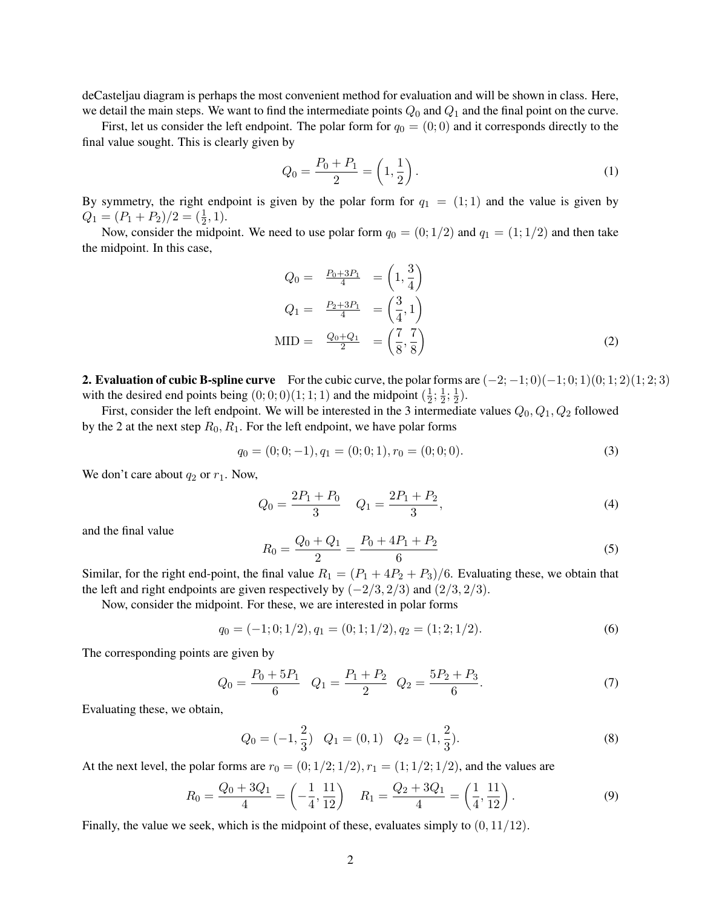deCasteljau diagram is perhaps the most convenient method for evaluation and will be shown in class. Here, we detail the main steps. We want to find the intermediate points  $Q_0$  and  $Q_1$  and the final point on the curve.

First, let us consider the left endpoint. The polar form for  $q_0 = (0,0)$  and it corresponds directly to the final value sought. This is clearly given by

$$
Q_0 = \frac{P_0 + P_1}{2} = \left(1, \frac{1}{2}\right). \tag{1}
$$

By symmetry, the right endpoint is given by the polar form for  $q_1 = (1, 1)$  and the value is given by  $Q_1 = (P_1 + P_2)/2 = (\frac{1}{2}, 1).$ 

Now, consider the midpoint. We need to use polar form  $q_0 = (0, 1/2)$  and  $q_1 = (1, 1/2)$  and then take the midpoint. In this case,

$$
Q_0 = \frac{P_0 + 3P_1}{4} = \left(1, \frac{3}{4}\right)
$$
  
\n
$$
Q_1 = \frac{P_2 + 3P_1}{4} = \left(\frac{3}{4}, 1\right)
$$
  
\n
$$
MID = \frac{Q_0 + Q_1}{2} = \left(\frac{7}{8}, \frac{7}{8}\right)
$$
 (2)

2. Evaluation of cubic B-spline curve For the cubic curve, the polar forms are  $(-2;-1;0)(-1;0;1)(0;1;2)(1;2;3)$ with the desired end points being  $(0, 0, 0)$  $(1, 1, 1)$  and the midpoint  $(\frac{1}{2})$  $\frac{1}{2}$ ;  $\frac{1}{2}$  $\frac{1}{2}$ ;  $\frac{1}{2}$  $(\frac{1}{2})$ .

First, consider the left endpoint. We will be interested in the 3 intermediate values  $Q_0, Q_1, Q_2$  followed by the 2 at the next step  $R_0, R_1$ . For the left endpoint, we have polar forms

$$
q_0 = (0; 0; -1), q_1 = (0; 0; 1), r_0 = (0; 0; 0).
$$
\n
$$
(3)
$$

We don't care about  $q_2$  or  $r_1$ . Now,

$$
Q_0 = \frac{2P_1 + P_0}{3} \quad Q_1 = \frac{2P_1 + P_2}{3},\tag{4}
$$

and the final value

$$
R_0 = \frac{Q_0 + Q_1}{2} = \frac{P_0 + 4P_1 + P_2}{6} \tag{5}
$$

Similar, for the right end-point, the final value  $R_1 = (P_1 + 4P_2 + P_3)/6$ . Evaluating these, we obtain that the left and right endpoints are given respectively by  $(-2/3, 2/3)$  and  $(2/3, 2/3)$ .

Now, consider the midpoint. For these, we are interested in polar forms

$$
q_0 = (-1; 0; 1/2), q_1 = (0; 1; 1/2), q_2 = (1; 2; 1/2).
$$
\n<sup>(6)</sup>

The corresponding points are given by

$$
Q_0 = \frac{P_0 + 5P_1}{6} \quad Q_1 = \frac{P_1 + P_2}{2} \quad Q_2 = \frac{5P_2 + P_3}{6}.
$$
 (7)

Evaluating these, we obtain,

$$
Q_0 = (-1, \frac{2}{3}) \quad Q_1 = (0, 1) \quad Q_2 = (1, \frac{2}{3}).
$$
\n(8)

At the next level, the polar forms are  $r_0 = (0; 1/2; 1/2), r_1 = (1; 1/2; 1/2)$ , and the values are

$$
R_0 = \frac{Q_0 + 3Q_1}{4} = \left(-\frac{1}{4}, \frac{11}{12}\right) \quad R_1 = \frac{Q_2 + 3Q_1}{4} = \left(\frac{1}{4}, \frac{11}{12}\right). \tag{9}
$$

Finally, the value we seek, which is the midpoint of these, evaluates simply to  $(0, 11/12)$ .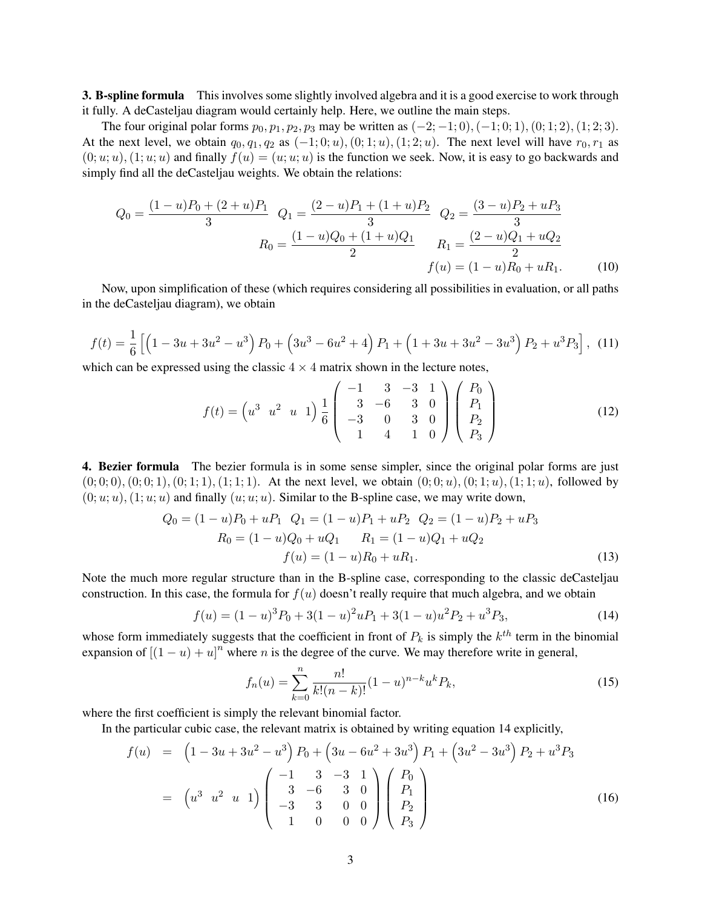**3. B-spline formula** This involves some slightly involved algebra and it is a good exercise to work through it fully. A deCasteljau diagram would certainly help. Here, we outline the main steps.

The four original polar forms  $p_0, p_1, p_2, p_3$  may be written as  $(-2, -1, 0), (-1, 0, 1), (0, 1, 2), (1, 2, 3)$ . At the next level, we obtain  $q_0, q_1, q_2$  as  $(-1; 0; u)$ ,  $(0; 1; u)$ ,  $(1; 2; u)$ . The next level will have  $r_0, r_1$  as  $(0; u; u)$ ,  $(1; u; u)$  and finally  $f(u) = (u; u; u)$  is the function we seek. Now, it is easy to go backwards and simply find all the deCasteljau weights. We obtain the relations:

$$
Q_0 = \frac{(1-u)P_0 + (2+u)P_1}{3} \quad Q_1 = \frac{(2-u)P_1 + (1+u)P_2}{3} \quad Q_2 = \frac{(3-u)P_2 + uP_3}{3}
$$

$$
R_0 = \frac{(1-u)Q_0 + (1+u)Q_1}{2} \quad R_1 = \frac{(2-u)Q_1 + uQ_2}{2}
$$

$$
f(u) = (1-u)R_0 + uR_1.
$$
(10)

Now, upon simplification of these (which requires considering all possibilities in evaluation, or all paths in the deCasteljau diagram), we obtain

$$
f(t) = \frac{1}{6} \left[ \left( 1 - 3u + 3u^2 - u^3 \right) P_0 + \left( 3u^3 - 6u^2 + 4 \right) P_1 + \left( 1 + 3u + 3u^2 - 3u^3 \right) P_2 + u^3 P_3 \right], \tag{11}
$$

which can be expressed using the classic  $4 \times 4$  matrix shown in the lecture notes,

$$
f(t) = \begin{pmatrix} u^3 & u^2 & u & 1 \end{pmatrix} \frac{1}{6} \begin{pmatrix} -1 & 3 & -3 & 1 \\ 3 & -6 & 3 & 0 \\ -3 & 0 & 3 & 0 \\ 1 & 4 & 1 & 0 \end{pmatrix} \begin{pmatrix} P_0 \\ P_1 \\ P_2 \\ P_3 \end{pmatrix}
$$
(12)

4. Bezier formula The bezier formula is in some sense simpler, since the original polar forms are just  $(0; 0; 0), (0; 0; 1), (0; 1; 1), (1; 1; 1).$  At the next level, we obtain  $(0; 0; u), (0; 1; u), (1; 1; u)$ , followed by  $(0; u; u)$ ,  $(1; u; u)$  and finally  $(u; u; u)$ . Similar to the B-spline case, we may write down,

$$
Q_0 = (1 - u)P_0 + uP_1 \t Q_1 = (1 - u)P_1 + uP_2 \t Q_2 = (1 - u)P_2 + uP_3
$$
  
\n
$$
R_0 = (1 - u)Q_0 + uQ_1 \t R_1 = (1 - u)Q_1 + uQ_2
$$
  
\n
$$
f(u) = (1 - u)R_0 + uR_1.
$$
\n(13)

Note the much more regular structure than in the B-spline case, corresponding to the classic deCasteljau construction. In this case, the formula for  $f(u)$  doesn't really require that much algebra, and we obtain

$$
f(u) = (1 - u)^3 P_0 + 3(1 - u)^2 u P_1 + 3(1 - u)u^2 P_2 + u^3 P_3,
$$
\n(14)

whose form immediately suggests that the coefficient in front of  $P_k$  is simply the  $k^{th}$  term in the binomial expansion of  $[(1 - u) + u]^n$  where *n* is the degree of the curve. We may therefore write in general,

$$
f_n(u) = \sum_{k=0}^n \frac{n!}{k!(n-k)!} (1-u)^{n-k} u^k P_k,
$$
\n(15)

where the first coefficient is simply the relevant binomial factor.

In the particular cubic case, the relevant matrix is obtained by writing equation 14 explicitly,

$$
f(u) = \left(1 - 3u + 3u^2 - u^3\right)P_0 + \left(3u - 6u^2 + 3u^3\right)P_1 + \left(3u^2 - 3u^3\right)P_2 + u^3P_3
$$
  

$$
= \left(u^3 \ u^2 \ u \ 1\right) \begin{pmatrix} -1 & 3 & -3 & 1 \\ 3 & -6 & 3 & 0 \\ -3 & 3 & 0 & 0 \\ 1 & 0 & 0 & 0 \end{pmatrix} \begin{pmatrix} P_0 \\ P_1 \\ P_2 \\ P_3 \end{pmatrix}
$$
(16)